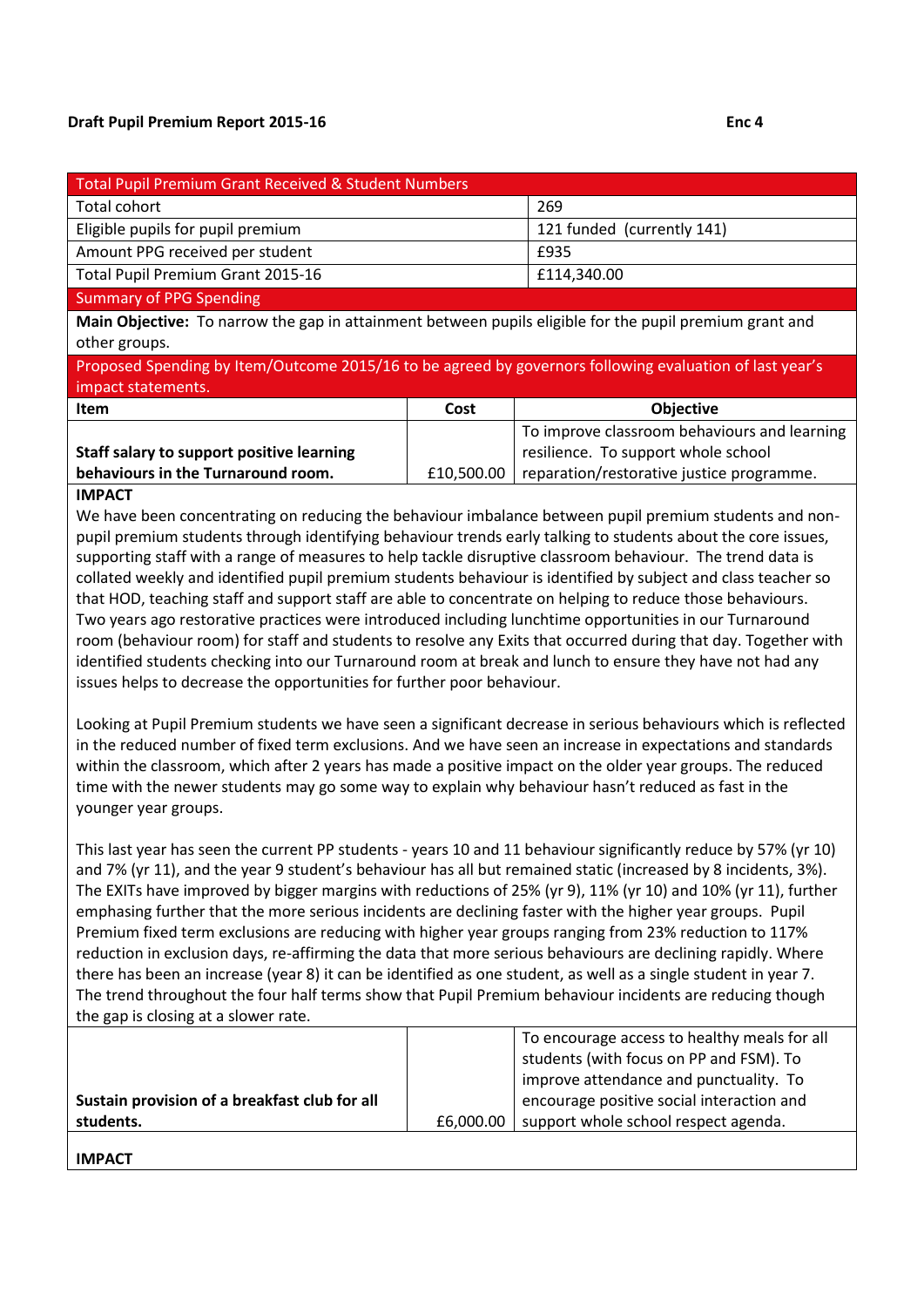### **Draft Pupil Premium Report 2015-16 Enc 4** Enc 4

| Total Pupil Premium Grant Received & Student Numbers |                            |
|------------------------------------------------------|----------------------------|
| Total cohort                                         | 269                        |
| Eligible pupils for pupil premium                    | 121 funded (currently 141) |
| Amount PPG received per student                      | £935                       |
| Total Pupil Premium Grant 2015-16                    | £114,340.00                |
|                                                      |                            |

#### Summary of PPG Spending

**Main Objective:** To narrow the gap in attainment between pupils eligible for the pupil premium grant and other groups.

| Proposed Spending by Item/Outcome 2015/16 to be agreed by governors following evaluation of last year's |      |                                                        |
|---------------------------------------------------------------------------------------------------------|------|--------------------------------------------------------|
| impact statements.                                                                                      |      |                                                        |
| <b>Item</b>                                                                                             | Cost | <b>Objective</b>                                       |
|                                                                                                         |      | To improve classroom behaviours and learning           |
| Staff salary to support positive learning                                                               |      | resilience. To support whole school                    |
| behaviours in the Turnaround room.                                                                      |      | £10,500.00   reparation/restorative justice programme. |

#### **IMPACT**

We have been concentrating on reducing the behaviour imbalance between pupil premium students and nonpupil premium students through identifying behaviour trends early talking to students about the core issues, supporting staff with a range of measures to help tackle disruptive classroom behaviour. The trend data is collated weekly and identified pupil premium students behaviour is identified by subject and class teacher so that HOD, teaching staff and support staff are able to concentrate on helping to reduce those behaviours. Two years ago restorative practices were introduced including lunchtime opportunities in our Turnaround room (behaviour room) for staff and students to resolve any Exits that occurred during that day. Together with identified students checking into our Turnaround room at break and lunch to ensure they have not had any issues helps to decrease the opportunities for further poor behaviour.

Looking at Pupil Premium students we have seen a significant decrease in serious behaviours which is reflected in the reduced number of fixed term exclusions. And we have seen an increase in expectations and standards within the classroom, which after 2 years has made a positive impact on the older year groups. The reduced time with the newer students may go some way to explain why behaviour hasn't reduced as fast in the younger year groups.

This last year has seen the current PP students - years 10 and 11 behaviour significantly reduce by 57% (yr 10) and 7% (yr 11), and the year 9 student's behaviour has all but remained static (increased by 8 incidents, 3%). The EXITs have improved by bigger margins with reductions of 25% (yr 9), 11% (yr 10) and 10% (yr 11), further emphasing further that the more serious incidents are declining faster with the higher year groups. Pupil Premium fixed term exclusions are reducing with higher year groups ranging from 23% reduction to 117% reduction in exclusion days, re-affirming the data that more serious behaviours are declining rapidly. Where there has been an increase (year 8) it can be identified as one student, as well as a single student in year 7. The trend throughout the four half terms show that Pupil Premium behaviour incidents are reducing though the gap is closing at a slower rate.

|                                               |           | To encourage access to healthy meals for all |
|-----------------------------------------------|-----------|----------------------------------------------|
|                                               |           | students (with focus on PP and FSM). To      |
|                                               |           | improve attendance and punctuality. To       |
| Sustain provision of a breakfast club for all |           | encourage positive social interaction and    |
| students.                                     | £6,000.00 | support whole school respect agenda.         |
|                                               |           |                                              |

**IMPACT**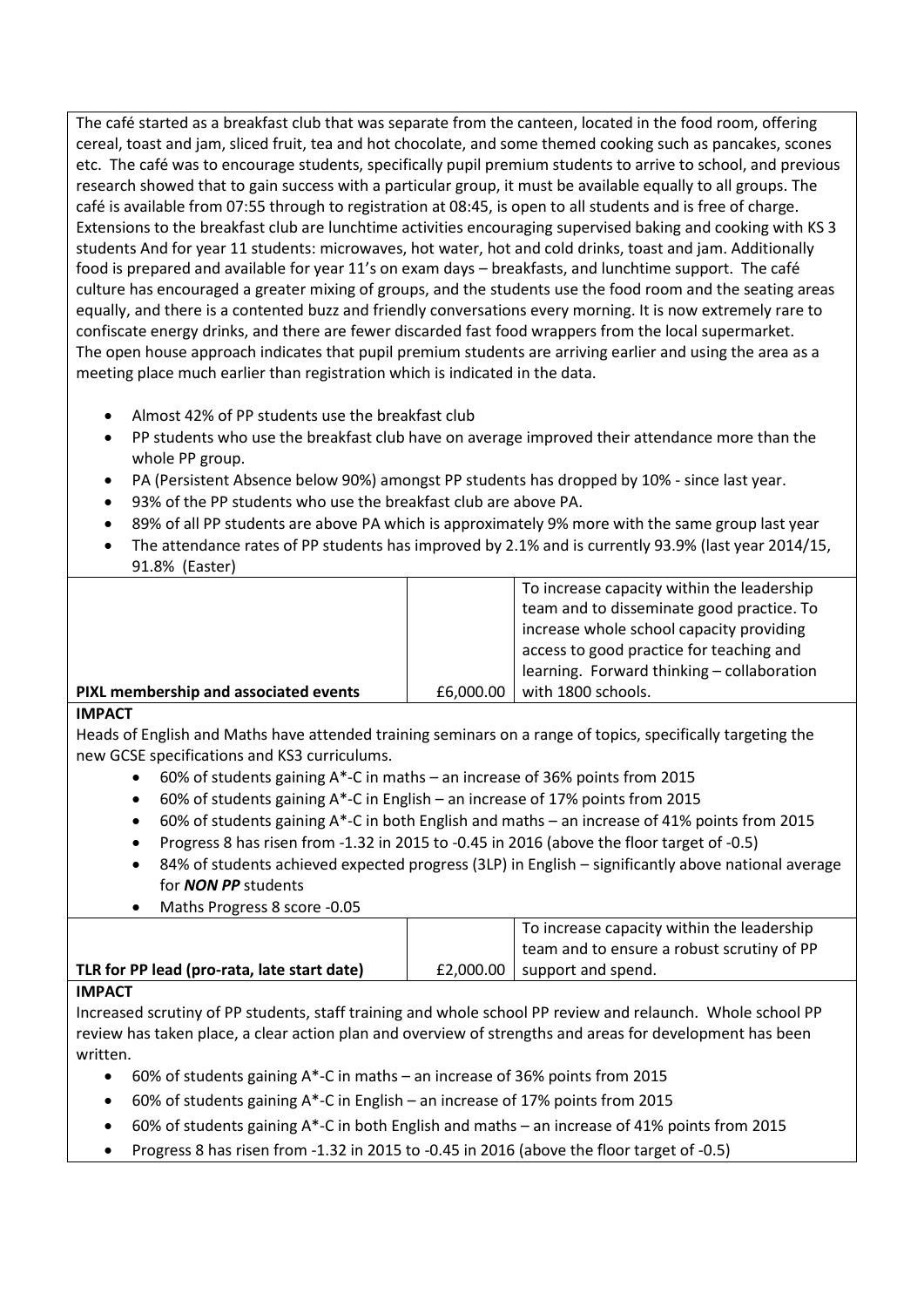The café started as a breakfast club that was separate from the canteen, located in the food room, offering cereal, toast and jam, sliced fruit, tea and hot chocolate, and some themed cooking such as pancakes, scones etc. The café was to encourage students, specifically pupil premium students to arrive to school, and previous research showed that to gain success with a particular group, it must be available equally to all groups. The café is available from 07:55 through to registration at 08:45, is open to all students and is free of charge. Extensions to the breakfast club are lunchtime activities encouraging supervised baking and cooking with KS 3 students And for year 11 students: microwaves, hot water, hot and cold drinks, toast and jam. Additionally food is prepared and available for year 11's on exam days – breakfasts, and lunchtime support. The café culture has encouraged a greater mixing of groups, and the students use the food room and the seating areas equally, and there is a contented buzz and friendly conversations every morning. It is now extremely rare to confiscate energy drinks, and there are fewer discarded fast food wrappers from the local supermarket. The open house approach indicates that pupil premium students are arriving earlier and using the area as a meeting place much earlier than registration which is indicated in the data.

- Almost 42% of PP students use the breakfast club
- PP students who use the breakfast club have on average improved their attendance more than the whole PP group.
- PA (Persistent Absence below 90%) amongst PP students has dropped by 10% since last year.
- 93% of the PP students who use the breakfast club are above PA.
- 89% of all PP students are above PA which is approximately 9% more with the same group last year
- The attendance rates of PP students has improved by 2.1% and is currently 93.9% (last year 2014/15, 91.8% (Easter)

| ------------                          |           |                                            |
|---------------------------------------|-----------|--------------------------------------------|
|                                       |           | To increase capacity within the leadership |
|                                       |           | team and to disseminate good practice. To  |
|                                       |           | increase whole school capacity providing   |
|                                       |           | access to good practice for teaching and   |
|                                       |           | learning. Forward thinking - collaboration |
| PIXL membership and associated events | £6,000.00 | with 1800 schools.                         |

## **IMPACT**

Heads of English and Maths have attended training seminars on a range of topics, specifically targeting the new GCSE specifications and KS3 curriculums.

- 60% of students gaining A\*-C in maths an increase of 36% points from 2015
- 60% of students gaining A\*-C in English an increase of 17% points from 2015
- 60% of students gaining A\*-C in both English and maths an increase of 41% points from 2015
- Progress 8 has risen from -1.32 in 2015 to -0.45 in 2016 (above the floor target of -0.5)
- 84% of students achieved expected progress (3LP) in English significantly above national average for *NON PP* students
- Maths Progress 8 score -0.05

| TLR for PP lead (pro-rata, late start date) | £2.000.00 | support and spend.                         |
|---------------------------------------------|-----------|--------------------------------------------|
|                                             |           | team and to ensure a robust scrutiny of PP |
|                                             |           | To increase capacity within the leadership |

## **IMPACT**

Increased scrutiny of PP students, staff training and whole school PP review and relaunch. Whole school PP review has taken place, a clear action plan and overview of strengths and areas for development has been written.

- 60% of students gaining A\*-C in maths an increase of 36% points from 2015
- 60% of students gaining A\*-C in English an increase of 17% points from 2015
- 60% of students gaining A\*-C in both English and maths an increase of 41% points from 2015
- Progress 8 has risen from -1.32 in 2015 to -0.45 in 2016 (above the floor target of -0.5)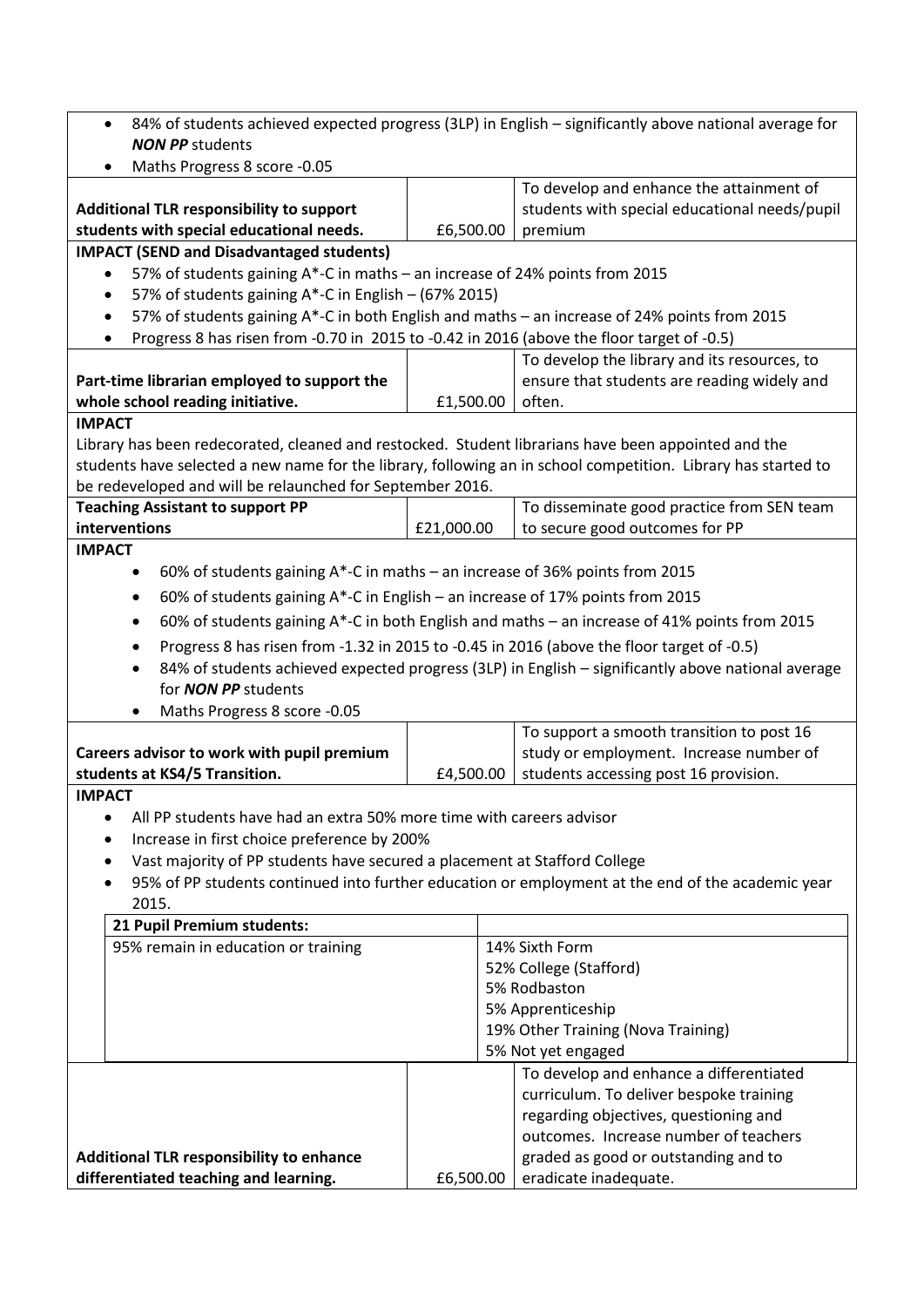| 84% of students achieved expected progress (3LP) in English - significantly above national average for        |            |                                                                                                    |  |  |
|---------------------------------------------------------------------------------------------------------------|------------|----------------------------------------------------------------------------------------------------|--|--|
| <b>NON PP</b> students                                                                                        |            |                                                                                                    |  |  |
| Maths Progress 8 score -0.05<br>$\bullet$                                                                     |            |                                                                                                    |  |  |
|                                                                                                               |            | To develop and enhance the attainment of                                                           |  |  |
| Additional TLR responsibility to support                                                                      |            | students with special educational needs/pupil                                                      |  |  |
| students with special educational needs.                                                                      | £6,500.00  | premium                                                                                            |  |  |
| <b>IMPACT (SEND and Disadvantaged students)</b>                                                               |            |                                                                                                    |  |  |
| 57% of students gaining A*-C in maths - an increase of 24% points from 2015                                   |            |                                                                                                    |  |  |
| 57% of students gaining A*-C in English - (67% 2015)                                                          |            |                                                                                                    |  |  |
| ٠                                                                                                             |            | 57% of students gaining A*-C in both English and maths - an increase of 24% points from 2015       |  |  |
| Progress 8 has risen from -0.70 in 2015 to -0.42 in 2016 (above the floor target of -0.5)                     |            |                                                                                                    |  |  |
|                                                                                                               |            | To develop the library and its resources, to                                                       |  |  |
| Part-time librarian employed to support the                                                                   |            | ensure that students are reading widely and                                                        |  |  |
| whole school reading initiative.<br><b>IMPACT</b>                                                             | £1,500.00  | often.                                                                                             |  |  |
| Library has been redecorated, cleaned and restocked. Student librarians have been appointed and the           |            |                                                                                                    |  |  |
| students have selected a new name for the library, following an in school competition. Library has started to |            |                                                                                                    |  |  |
| be redeveloped and will be relaunched for September 2016.                                                     |            |                                                                                                    |  |  |
| <b>Teaching Assistant to support PP</b>                                                                       |            | To disseminate good practice from SEN team                                                         |  |  |
| interventions                                                                                                 | £21,000.00 | to secure good outcomes for PP                                                                     |  |  |
| <b>IMPACT</b>                                                                                                 |            |                                                                                                    |  |  |
| 60% of students gaining A*-C in maths - an increase of 36% points from 2015                                   |            |                                                                                                    |  |  |
| 60% of students gaining A*-C in English - an increase of 17% points from 2015<br>$\bullet$                    |            |                                                                                                    |  |  |
|                                                                                                               |            |                                                                                                    |  |  |
| ٠                                                                                                             |            | 60% of students gaining A*-C in both English and maths - an increase of 41% points from 2015       |  |  |
|                                                                                                               |            | Progress 8 has risen from -1.32 in 2015 to -0.45 in 2016 (above the floor target of -0.5)          |  |  |
|                                                                                                               |            | 84% of students achieved expected progress (3LP) in English - significantly above national average |  |  |
| for <b>NON PP</b> students                                                                                    |            |                                                                                                    |  |  |
| Maths Progress 8 score -0.05<br>٠                                                                             |            | To support a smooth transition to post 16                                                          |  |  |
| Careers advisor to work with pupil premium                                                                    |            | study or employment. Increase number of                                                            |  |  |
| students at KS4/5 Transition.                                                                                 | £4,500.00  | students accessing post 16 provision.                                                              |  |  |
| <b>IMPACT</b>                                                                                                 |            |                                                                                                    |  |  |
| All PP students have had an extra 50% more time with careers advisor                                          |            |                                                                                                    |  |  |
| Increase in first choice preference by 200%                                                                   |            |                                                                                                    |  |  |
| Vast majority of PP students have secured a placement at Stafford College                                     |            |                                                                                                    |  |  |
|                                                                                                               |            | 95% of PP students continued into further education or employment at the end of the academic year  |  |  |
| 2015.                                                                                                         |            |                                                                                                    |  |  |
| 21 Pupil Premium students:                                                                                    |            |                                                                                                    |  |  |
| 95% remain in education or training                                                                           |            | 14% Sixth Form                                                                                     |  |  |
|                                                                                                               |            | 52% College (Stafford)                                                                             |  |  |
|                                                                                                               |            | 5% Rodbaston                                                                                       |  |  |
|                                                                                                               |            | 5% Apprenticeship                                                                                  |  |  |
|                                                                                                               |            | 19% Other Training (Nova Training)                                                                 |  |  |
|                                                                                                               |            | 5% Not yet engaged                                                                                 |  |  |
|                                                                                                               |            | To develop and enhance a differentiated                                                            |  |  |
|                                                                                                               |            | curriculum. To deliver bespoke training                                                            |  |  |
|                                                                                                               |            | regarding objectives, questioning and                                                              |  |  |
|                                                                                                               |            | outcomes. Increase number of teachers                                                              |  |  |
| Additional TLR responsibility to enhance                                                                      |            | graded as good or outstanding and to                                                               |  |  |

 $f6,500.00$  eradicate inadequate.

differentiated teaching and learning.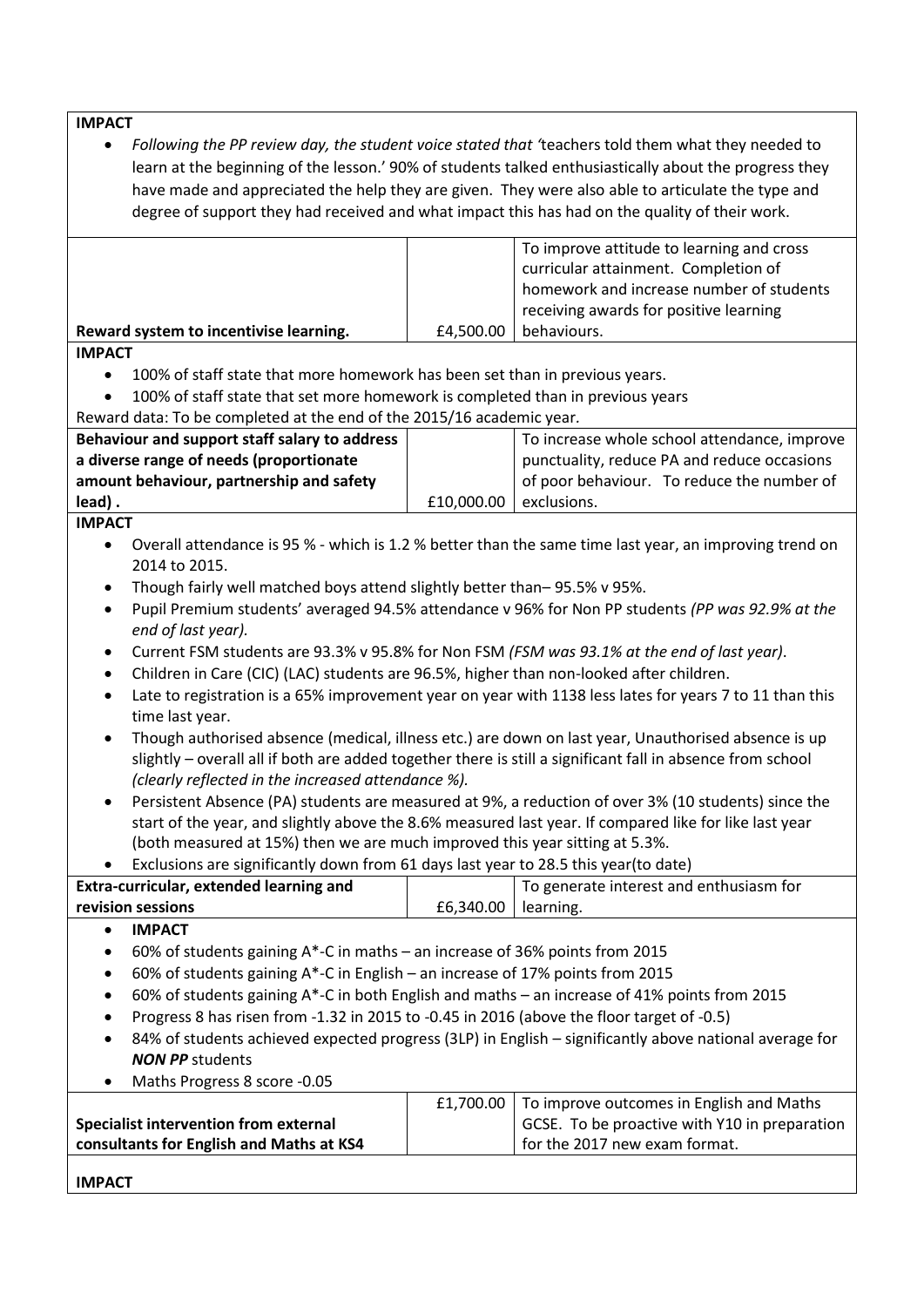**IMPACT**

 *Following the PP review day, the student voice stated that '*teachers told them what they needed to learn at the beginning of the lesson.' 90% of students talked enthusiastically about the progress they have made and appreciated the help they are given. They were also able to articulate the type and degree of support they had received and what impact this has had on the quality of their work.

|                                                                                             |            | To improve attitude to learning and cross<br>curricular attainment. Completion of<br>homework and increase number of students<br>receiving awards for positive learning |  |  |
|---------------------------------------------------------------------------------------------|------------|-------------------------------------------------------------------------------------------------------------------------------------------------------------------------|--|--|
| Reward system to incentivise learning.                                                      | £4,500.00  | behaviours.                                                                                                                                                             |  |  |
| <b>IMPACT</b>                                                                               |            |                                                                                                                                                                         |  |  |
| 100% of staff state that more homework has been set than in previous years.<br>$\bullet$    |            |                                                                                                                                                                         |  |  |
| 100% of staff state that set more homework is completed than in previous years<br>$\bullet$ |            |                                                                                                                                                                         |  |  |
| Reward data: To be completed at the end of the 2015/16 academic year.                       |            |                                                                                                                                                                         |  |  |
| Behaviour and support staff salary to address                                               |            | To increase whole school attendance, improve                                                                                                                            |  |  |
| a diverse range of needs (proportionate                                                     |            | punctuality, reduce PA and reduce occasions                                                                                                                             |  |  |
| amount behaviour, partnership and safety                                                    |            | of poor behaviour. To reduce the number of                                                                                                                              |  |  |
| lead).                                                                                      | £10,000.00 | exclusions.                                                                                                                                                             |  |  |

# **IMPACT**

- Overall attendance is 95 % which is 1.2 % better than the same time last year, an improving trend on 2014 to 2015.
- Though fairly well matched boys attend slightly better than– 95.5% v 95%.
- Pupil Premium students' averaged 94.5% attendance v 96% for Non PP students *(PP was 92.9% at the end of last year).*
- Current FSM students are 93.3% v 95.8% for Non FSM *(FSM was 93.1% at the end of last year)*.
- Children in Care (CIC) (LAC) students are 96.5%, higher than non-looked after children.
- Late to registration is a 65% improvement year on year with 1138 less lates for years 7 to 11 than this time last year.
- Though authorised absence (medical, illness etc.) are down on last year, Unauthorised absence is up slightly – overall all if both are added together there is still a significant fall in absence from school *(clearly reflected in the increased attendance %).*
- Persistent Absence (PA) students are measured at 9%, a reduction of over 3% (10 students) since the start of the year, and slightly above the 8.6% measured last year. If compared like for like last year (both measured at 15%) then we are much improved this year sitting at 5.3%.
- Exclusions are significantly down from 61 days last year to 28.5 this year(to date)

|                                                | .                       |                                                      |
|------------------------------------------------|-------------------------|------------------------------------------------------|
| <b>Extra-curricular, extended learning and</b> |                         | <sup>1</sup> To generate interest and enthusiasm for |
| revision sessions                              | $£6,340.00$   learning. |                                                      |
|                                                |                         |                                                      |

| <b>IMPACT</b>                                |                                                                                              |                                                                                                        |  |  |  |
|----------------------------------------------|----------------------------------------------------------------------------------------------|--------------------------------------------------------------------------------------------------------|--|--|--|
| $\bullet$                                    | 60% of students gaining $A^*$ -C in maths – an increase of 36% points from 2015              |                                                                                                        |  |  |  |
| ٠                                            | 60% of students gaining A*-C in English - an increase of 17% points from 2015                |                                                                                                        |  |  |  |
| $\bullet$                                    | 60% of students gaining A*-C in both English and maths - an increase of 41% points from 2015 |                                                                                                        |  |  |  |
| ٠                                            | Progress 8 has risen from -1.32 in 2015 to -0.45 in 2016 (above the floor target of -0.5)    |                                                                                                        |  |  |  |
| $\bullet$                                    |                                                                                              | 84% of students achieved expected progress (3LP) in English - significantly above national average for |  |  |  |
| <b>NON PP</b> students                       |                                                                                              |                                                                                                        |  |  |  |
| Maths Progress 8 score -0.05<br>$\bullet$    |                                                                                              |                                                                                                        |  |  |  |
|                                              | £1,700.00                                                                                    | To improve outcomes in English and Maths                                                               |  |  |  |
| <b>Specialist intervention from external</b> |                                                                                              | GCSE. To be proactive with Y10 in preparation                                                          |  |  |  |
| consultants for English and Maths at KS4     |                                                                                              | for the 2017 new exam format.                                                                          |  |  |  |

**IMPACT**